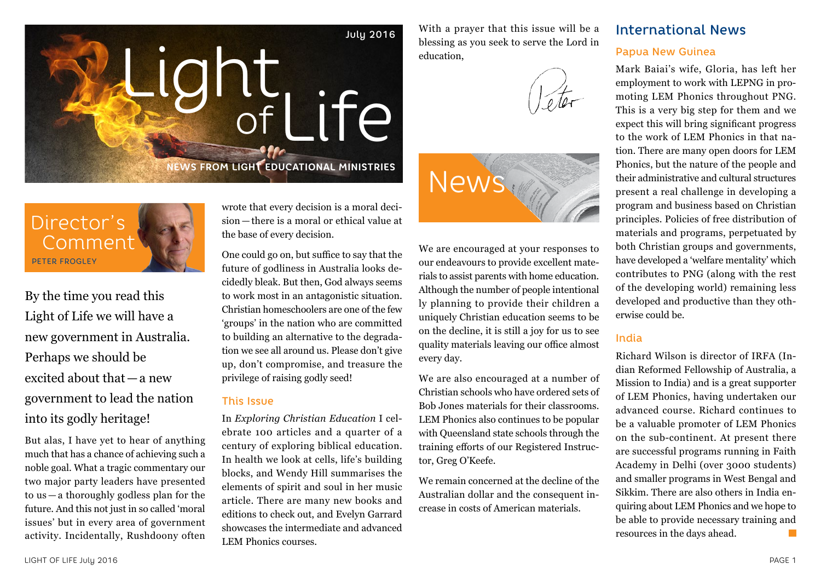

Director's Comment PETER FROGLEY

By the time you read this Light of Life we will have a new government in Australia. Perhaps we should be excited about that—a new government to lead the nation into its godly heritage!

But alas, I have yet to hear of anything much that has a chance of achieving such a noble goal. What a tragic commentary our two major party leaders have presented to us — a thoroughly godless plan for the future. And this not just in so called 'moral issues' but in every area of government activity. Incidentally, Rushdoony often wrote that every decision is a moral decision — there is a moral or ethical value at the base of every decision.

One could go on, but suffice to say that the future of godliness in Australia looks decidedly bleak. But then, God always seems to work most in an antagonistic situation. Christian homeschoolers are one of the few 'groups' in the nation who are committed to building an alternative to the degradation we see all around us. Please don't give up, don't compromise, and treasure the privilege of raising godly seed!

#### This Issue

In *Exploring Christian Education* I celebrate 100 articles and a quarter of a century of exploring biblical education. In health we look at cells, life's building blocks, and Wendy Hill summarises the elements of spirit and soul in her music article. There are many new books and editions to check out, and Evelyn Garrard showcases the intermediate and advanced LEM Phonics courses.

With a prayer that this issue will be a blessing as you seek to serve the Lord in education,





We are encouraged at your responses to our endeavours to provide excellent materials to assist parents with home education. Although the number of people intentional ly planning to provide their children a uniquely Christian education seems to be on the decline, it is still a joy for us to see quality materials leaving our office almost every day.

We are also encouraged at a number of Christian schools who have ordered sets of Bob Jones materials for their classrooms. LEM Phonics also continues to be popular with Queensland state schools through the training efforts of our Registered Instructor, Greg O'Keefe.

We remain concerned at the decline of the Australian dollar and the consequent increase in costs of American materials.

## International News

#### Papua New Guinea

Mark Baiai's wife, Gloria, has left her employment to work with LEPNG in promoting LEM Phonics throughout PNG. This is a very big step for them and we expect this will bring significant progress to the work of LEM Phonics in that nation. There are many open doors for LEM Phonics, but the nature of the people and their administrative and cultural structures present a real challenge in developing a program and business based on Christian principles. Policies of free distribution of materials and programs, perpetuated by both Christian groups and governments, have developed a 'welfare mentality' which contributes to PNG (along with the rest of the developing world) remaining less developed and productive than they otherwise could be.

### India

Richard Wilson is director of IRFA (Indian Reformed Fellowship of Australia, a Mission to India) and is a great supporter of LEM Phonics, having undertaken our advanced course. Richard continues to be a valuable promoter of LEM Phonics on the sub-continent. At present there are successful programs running in Faith Academy in Delhi (over 3000 students) and smaller programs in West Bengal and Sikkim. There are also others in India enquiring about LEM Phonics and we hope to be able to provide necessary training and resources in the days ahead. **The State**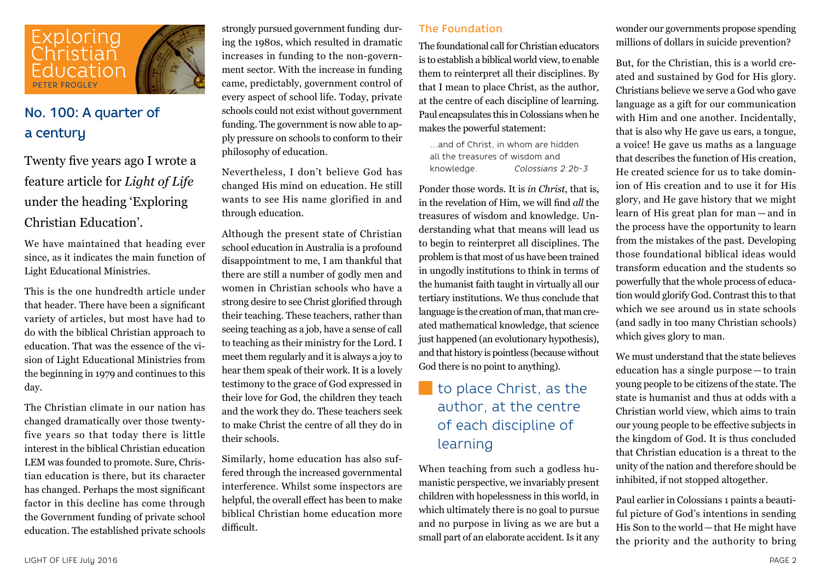

## No. 100: A quarter of a century

Twenty five years ago I wrote a feature article for *Light of Life*  under the heading 'Exploring Christian Education'.

We have maintained that heading ever since, as it indicates the main function of Light Educational Ministries.

This is the one hundredth article under that header. There have been a significant variety of articles, but most have had to do with the biblical Christian approach to education. That was the essence of the vision of Light Educational Ministries from the beginning in 1979 and continues to this day.

The Christian climate in our nation has changed dramatically over those twentyfive years so that today there is little interest in the biblical Christian education LEM was founded to promote. Sure, Christian education is there, but its character has changed. Perhaps the most significant factor in this decline has come through the Government funding of private school education. The established private schools

strongly pursued government funding during the 1980s, which resulted in dramatic increases in funding to the non-government sector. With the increase in funding came, predictably, government control of every aspect of school life. Today, private schools could not exist without government funding. The government is now able to apply pressure on schools to conform to their philosophy of education.

Nevertheless, I don't believe God has changed His mind on education. He still wants to see His name glorified in and through education.

Although the present state of Christian school education in Australia is a profound disappointment to me, I am thankful that there are still a number of godly men and women in Christian schools who have a strong desire to see Christ glorified through their teaching. These teachers, rather than seeing teaching as a job, have a sense of call to teaching as their ministry for the Lord. I meet them regularly and it is always a joy to hear them speak of their work. It is a lovely testimony to the grace of God expressed in their love for God, the children they teach and the work they do. These teachers seek to make Christ the centre of all they do in their schools.

Similarly, home education has also suffered through the increased governmental interference. Whilst some inspectors are helpful, the overall effect has been to make biblical Christian home education more difficult.

#### The Foundation

The foundational call for Christian educators is to establish a biblical world view, to enable them to reinterpret all their disciplines. By that I mean to place Christ, as the author, at the centre of each discipline of learning. Paul encapsulates this in Colossians when he makes the powerful statement:

…and of Christ, in whom are hidden all the treasures of wisdom and knowledge. *Colossians 2:2b-3*

Ponder those words. It is *in Christ*, that is, in the revelation of Him, we will find *all* the treasures of wisdom and knowledge. Understanding what that means will lead us to begin to reinterpret all disciplines. The problem is that most of us have been trained in ungodly institutions to think in terms of the humanist faith taught in virtually all our tertiary institutions. We thus conclude that language is the creation of man, that man created mathematical knowledge, that science just happened (an evolutionary hypothesis), and that history is pointless (because without God there is no point to anything).

## to place Christ, as the author, at the centre of each discipline of learning

When teaching from such a godless humanistic perspective, we invariably present children with hopelessness in this world, in which ultimately there is no goal to pursue and no purpose in living as we are but a small part of an elaborate accident. Is it any

wonder our governments propose spending millions of dollars in suicide prevention?

But, for the Christian, this is a world created and sustained by God for His glory. Christians believe we serve a God who gave language as a gift for our communication with Him and one another. Incidentally, that is also why He gave us ears, a tongue, a voice! He gave us maths as a language that describes the function of His creation, He created science for us to take dominion of His creation and to use it for His glory, and He gave history that we might learn of His great plan for man — and in the process have the opportunity to learn from the mistakes of the past. Developing those foundational biblical ideas would transform education and the students so powerfully that the whole process of education would glorify God. Contrast this to that which we see around us in state schools (and sadly in too many Christian schools) which gives glory to man.

We must understand that the state believes education has a single purpose — to train young people to be citizens of the state. The state is humanist and thus at odds with a Christian world view, which aims to train our young people to be effective subjects in the kingdom of God. It is thus concluded that Christian education is a threat to the unity of the nation and therefore should be inhibited, if not stopped altogether.

Paul earlier in Colossians 1 paints a beautiful picture of God's intentions in sending His Son to the world—that He might have the priority and the authority to bring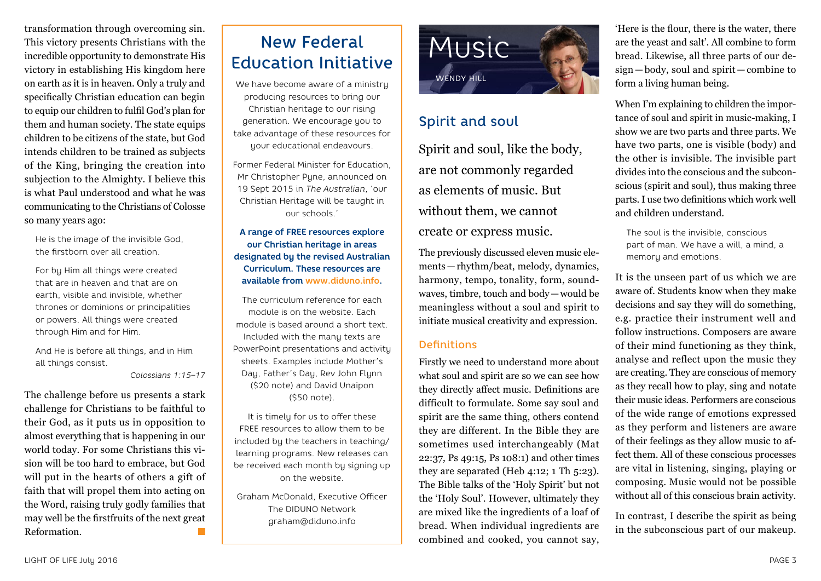transformation through overcoming sin. This victory presents Christians with the incredible opportunity to demonstrate His victory in establishing His kingdom here on earth as it is in heaven. Only a truly and specifically Christian education can begin to equip our children to fulfil God's plan for them and human society. The state equips children to be citizens of the state, but God intends children to be trained as subjects of the King, bringing the creation into subjection to the Almighty. I believe this is what Paul understood and what he was communicating to the Christians of Colosse so many years ago:

He is the image of the invisible God, the firstborn over all creation.

For by Him all things were created that are in heaven and that are on earth, visible and invisible, whether thrones or dominions or principalities or powers. All things were created through Him and for Him.

And He is before all things, and in Him all things consist.

*Colossians 1:15–17*

The challenge before us presents a stark challenge for Christians to be faithful to their God, as it puts us in opposition to almost everything that is happening in our world today. For some Christians this vision will be too hard to embrace, but God will put in the hearts of others a gift of faith that will propel them into acting on the Word, raising truly godly families that may well be the firstfruits of the next great Reformation.

# New Federal Education Initiative

We have become aware of a ministry producing resources to bring our Christian heritage to our rising generation. We encourage you to take advantage of these resources for your educational endeavours.

Former Federal Minister for Education, Mr Christopher Pyne, announced on 19 Sept 2015 in *The Australian*, 'our Christian Heritage will be taught in our schools.'

**A range of FREE resources explore our Christian heritage in areas designated by the revised Australian Curriculum. These resources are available from www.diduno.info.**

The curriculum reference for each module is on the website. Each module is based around a short text. Included with the many texts are PowerPoint presentations and activity sheets. Examples include Mother's Day, Father's Day, Rev John Flynn (\$20 note) and David Unaipon (\$50 note).

It is timely for us to offer these FREE resources to allow them to be included by the teachers in teaching/ learning programs. New releases can be received each month by signing up on the website.

Graham McDonald, Executive Officer The DIDUNO Network graham@diduno.info



## Spirit and soul

Spirit and soul, like the body, are not commonly regarded as elements of music. But without them, we cannot create or express music.

The previously discussed eleven music elements—rhythm/beat, melody, dynamics, harmony, tempo, tonality, form, soundwaves, timbre, touch and body—would be meaningless without a soul and spirit to initiate musical creativity and expression.

### **Definitions**

Firstly we need to understand more about what soul and spirit are so we can see how they directly affect music. Definitions are difficult to formulate. Some say soul and spirit are the same thing, others contend they are different. In the Bible they are sometimes used interchangeably (Mat 22:37, Ps 49:15, Ps 108:1) and other times they are separated (Heb 4:12; 1 Th 5:23). The Bible talks of the 'Holy Spirit' but not the 'Holy Soul'. However, ultimately they are mixed like the ingredients of a loaf of bread. When individual ingredients are combined and cooked, you cannot say,

'Here is the flour, there is the water, there are the yeast and salt'. All combine to form bread. Likewise, all three parts of our design — body, soul and spirit — combine to form a living human being.

When I'm explaining to children the importance of soul and spirit in music-making, I show we are two parts and three parts. We have two parts, one is visible (body) and the other is invisible. The invisible part divides into the conscious and the subconscious (spirit and soul), thus making three parts. I use two definitions which work well and children understand.

The soul is the invisible, conscious part of man. We have a will, a mind, a memory and emotions.

It is the unseen part of us which we are aware of. Students know when they make decisions and say they will do something, e.g. practice their instrument well and follow instructions. Composers are aware of their mind functioning as they think, analyse and reflect upon the music they are creating. They are conscious of memory as they recall how to play, sing and notate their music ideas. Performers are conscious of the wide range of emotions expressed as they perform and listeners are aware of their feelings as they allow music to affect them. All of these conscious processes are vital in listening, singing, playing or composing. Music would not be possible without all of this conscious brain activity.

In contrast, I describe the spirit as being in the subconscious part of our makeup.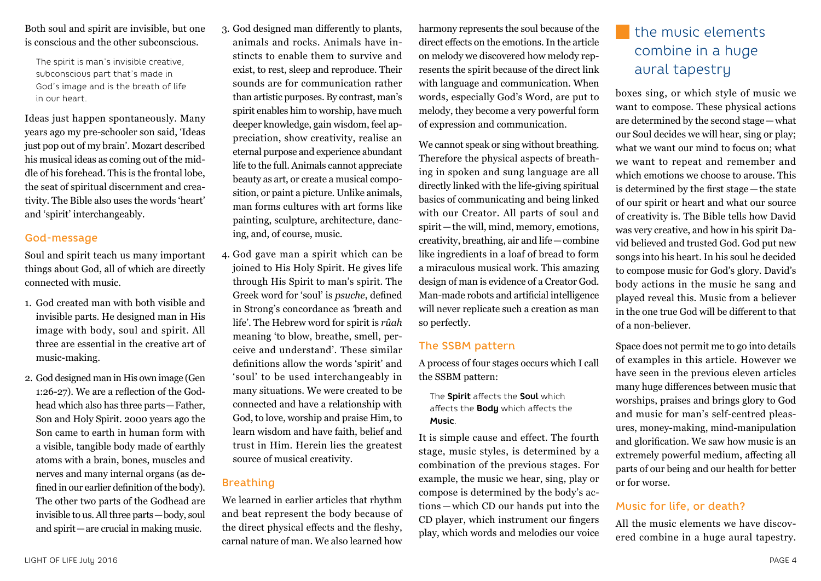Both soul and spirit are invisible, but one is conscious and the other subconscious.

The spirit is man's invisible creative, subconscious part that's made in God's image and is the breath of life in our heart.

Ideas just happen spontaneously. Many years ago my pre-schooler son said, 'Ideas just pop out of my brain'. Mozart described his musical ideas as coming out of the middle of his forehead. This is the frontal lobe, the seat of spiritual discernment and creativity. The Bible also uses the words 'heart' and 'spirit' interchangeably.

### God-message

Soul and spirit teach us many important things about God, all of which are directly connected with music.

- 1. God created man with both visible and invisible parts. He designed man in His image with body, soul and spirit. All three are essential in the creative art of music-making.
- 2. God designed man in His own image (Gen 1:26-27). We are a reflection of the Godhead which also has three parts—Father, Son and Holy Spirit. 2000 years ago the Son came to earth in human form with a visible, tangible body made of earthly atoms with a brain, bones, muscles and nerves and many internal organs (as defined in our earlier definition of the body). The other two parts of the Godhead are invisible to us. All three parts—body, soul and spirit—are crucial in making music.
- 3. God designed man differently to plants, animals and rocks. Animals have instincts to enable them to survive and exist, to rest, sleep and reproduce. Their sounds are for communication rather than artistic purposes. By contrast, man's spirit enables him to worship, have much deeper knowledge, gain wisdom, feel appreciation, show creativity, realise an eternal purpose and experience abundant life to the full. Animals cannot appreciate beauty as art, or create a musical composition, or paint a picture. Unlike animals, man forms cultures with art forms like painting, sculpture, architecture, dancing, and, of course, music.
- 4. God gave man a spirit which can be joined to His Holy Spirit. He gives life through His Spirit to man's spirit. The Greek word for 'soul' is *psuche*, defined in Strong's concordance as *'*breath and life'. The Hebrew word for spirit is *rûah*  meaning 'to blow, breathe, smell, perceive and understand'. These similar definitions allow the words 'spirit' and 'soul' to be used interchangeably in many situations. We were created to be connected and have a relationship with God, to love, worship and praise Him, to learn wisdom and have faith, belief and trust in Him. Herein lies the greatest source of musical creativity.

### Breathing

We learned in earlier articles that rhythm and beat represent the body because of the direct physical effects and the fleshy, carnal nature of man. We also learned how

harmony represents the soul because of the direct effects on the emotions. In the article on melody we discovered how melody represents the spirit because of the direct link with language and communication. When words, especially God's Word, are put to melody, they become a very powerful form of expression and communication.

We cannot speak or sing without breathing. Therefore the physical aspects of breathing in spoken and sung language are all directly linked with the life-giving spiritual basics of communicating and being linked with our Creator. All parts of soul and spirit—the will, mind, memory, emotions, creativity, breathing, air and life—combine like ingredients in a loaf of bread to form a miraculous musical work. This amazing design of man is evidence of a Creator God. Man-made robots and artificial intelligence will never replicate such a creation as man so perfectly.

#### The SSBM pattern

A process of four stages occurs which I call the SSBM pattern:

The **Spirit** affects the **Soul** which affects the **Body** which affects the **Music**.

It is simple cause and effect. The fourth stage, music styles, is determined by a combination of the previous stages. For example, the music we hear, sing, play or compose is determined by the body's actions — which CD our hands put into the CD player, which instrument our fingers play, which words and melodies our voice

## the music elements combine in a huge aural tapestry

boxes sing, or which style of music we want to compose. These physical actions are determined by the second stage—what our Soul decides we will hear, sing or play; what we want our mind to focus on; what we want to repeat and remember and which emotions we choose to arouse. This is determined by the first stage—the state of our spirit or heart and what our source of creativity is. The Bible tells how David was very creative, and how in his spirit David believed and trusted God. God put new songs into his heart. In his soul he decided to compose music for God's glory. David's body actions in the music he sang and played reveal this. Music from a believer in the one true God will be different to that of a non-believer.

Space does not permit me to go into details of examples in this article. However we have seen in the previous eleven articles many huge differences between music that worships, praises and brings glory to God and music for man's self-centred pleasures, money-making, mind-manipulation and glorification. We saw how music is an extremely powerful medium, affecting all parts of our being and our health for better or for worse.

### Music for life, or death?

All the music elements we have discovered combine in a huge aural tapestry.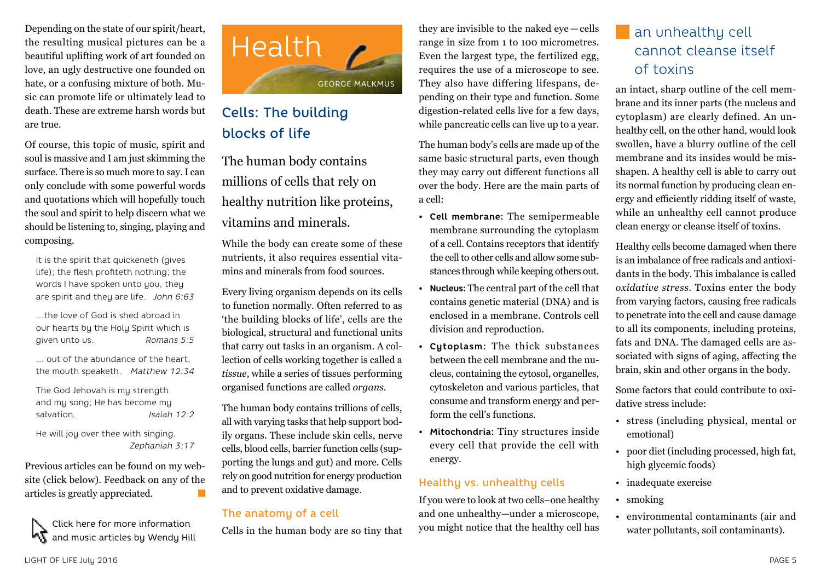Depending on the state of our spirit/heart, the resulting musical pictures can be a beautiful uplifting work of art founded on love, an ugly destructive one founded on hate, or a confusing mixture of both. Music can promote life or ultimately lead to death. These are extreme harsh words but are true.

Of course, this topic of music, spirit and soul is massive and I am just skimming the surface. There is so much more to say. I can only conclude with some powerful words and quotations which will hopefully touch the soul and spirit to help discern what we should be listening to, singing, playing and composing.

It is the spirit that quickeneth (gives life); the flesh profiteth nothing; the words I have spoken unto you, they are spirit and they are life. *John 6:63*

…the love of God is shed abroad in our hearts by the Holy Spirit which is given unto us. *Romans 5:5*

… out of the abundance of the heart, the mouth speaketh. *Matthew 12:34*

The God Jehovah is my strength and my song; He has become my salvation. *Isaiah 12:2*

He will joy over thee with singing.  *Zephaniah 3:17*

Previous articles can be found on my website (click below). Feedback on any of the articles is greatly appreciated.  $\mathcal{L}_{\mathcal{A}}$ 

Click here for more information and music articles by Wendy Hill



## Cells: The building blocks of life

The human body contains millions of cells that rely on healthy nutrition like proteins, vitamins and minerals.

While the body can create some of these nutrients, it also requires essential vitamins and minerals from food sources.

Every living organism depends on its cells to function normally. Often referred to as 'the building blocks of life', cells are the biological, structural and functional units that carry out tasks in an organism. A collection of cells working together is called a *tissue*, while a series of tissues performing organised functions are called *organs*.

The human body contains trillions of cells, all with varying tasks that help support bodily organs. These include skin cells, nerve cells, blood cells, barrier function cells (supporting the lungs and gut) and more. Cells rely on good nutrition for energy production and to prevent oxidative damage.

### The anatomy of a cell

Cells in the human body are so tiny that

they are invisible to the naked eye — cells range in size from 1 to 100 micrometres. Even the largest type, the fertilized egg, requires the use of a microscope to see. They also have differing lifespans, depending on their type and function. Some digestion-related cells live for a few days, while pancreatic cells can live up to a year.

The human body's cells are made up of the same basic structural parts, even though they may carry out different functions all over the body. Here are the main parts of a cell:

- **Cell membrane:** The semipermeable membrane surrounding the cytoplasm of a cell. Contains receptors that identify the cell to other cells and allow some substances through while keeping others out.
- **Nucleus:** The central part of the cell that contains genetic material (DNA) and is enclosed in a membrane. Controls cell division and reproduction.
- **Cytoplasm:** The thick substances between the cell membrane and the nucleus, containing the cytosol, organelles, cytoskeleton and various particles, that consume and transform energy and perform the cell's functions.
- **Mitochondria:** Tiny structures inside every cell that provide the cell with energy.

### Healthy vs. unhealthy cells

If you were to look at two cells–one healthy and one unhealthy—under a microscope, you might notice that the healthy cell has

## an unhealthy cell cannot cleanse itself of toxins

an intact, sharp outline of the cell membrane and its inner parts (the nucleus and cytoplasm) are clearly defined. An unhealthy cell, on the other hand, would look swollen, have a blurry outline of the cell membrane and its insides would be misshapen. A healthy cell is able to carry out its normal function by producing clean energy and efficiently ridding itself of waste, while an unhealthy cell cannot produce clean energy or cleanse itself of toxins.

Healthy cells become damaged when there is an imbalance of free radicals and antioxidants in the body. This imbalance is called *oxidative stress*. Toxins enter the body from varying factors, causing free radicals to penetrate into the cell and cause damage to all its components, including proteins, fats and DNA. The damaged cells are associated with signs of aging, affecting the brain, skin and other organs in the body.

Some factors that could contribute to oxidative stress include:

- stress (including physical, mental or emotional)
- poor diet (including processed, high fat, high glycemic foods)
- inadequate exercise
- smoking
- environmental contaminants (air and water pollutants, soil contaminants).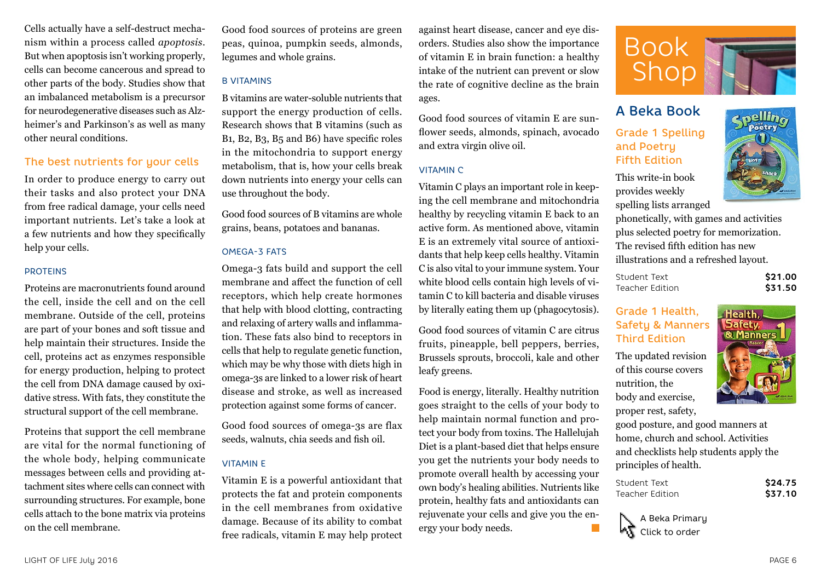Cells actually have a self-destruct mechanism within a process called *apoptosis*. But when apoptosis isn't working properly, cells can become cancerous and spread to other parts of the body. Studies show that an imbalanced metabolism is a precursor for neurodegenerative diseases such as Alzheimer's and Parkinson's as well as many other neural conditions.

### The best nutrients for your cells

In order to produce energy to carry out their tasks and also protect your DNA from free radical damage, your cells need important nutrients. Let's take a look at a few nutrients and how they specifically help your cells.

#### PROTEINS

Proteins are macronutrients found around the cell, inside the cell and on the cell membrane. Outside of the cell, proteins are part of your bones and soft tissue and help maintain their structures. Inside the cell, proteins act as enzymes responsible for energy production, helping to protect the cell from DNA damage caused by oxidative stress. With fats, they constitute the structural support of the cell membrane.

Proteins that support the cell membrane are vital for the normal functioning of the whole body, helping communicate messages between cells and providing attachment sites where cells can connect with surrounding structures. For example, bone cells attach to the bone matrix via proteins on the cell membrane.

Good food sources of proteins are green peas, quinoa, pumpkin seeds, almonds, legumes and whole grains.

#### B VITAMINS

B vitamins are water-soluble nutrients that support the energy production of cells. Research shows that B vitamins (such as B1, B2, B3, B5 and B6) have specific roles in the mitochondria to support energy metabolism, that is, how your cells break down nutrients into energy your cells can use throughout the body.

Good food sources of B vitamins are whole grains, beans, potatoes and bananas.

#### OMEGA-3 FATS

Omega-3 fats build and support the cell membrane and affect the function of cell receptors, which help create hormones that help with blood clotting, contracting and relaxing of artery walls and inflammation. These fats also bind to receptors in cells that help to regulate genetic function, which may be why those with diets high in omega-3s are linked to a lower risk of heart disease and stroke, as well as increased protection against some forms of cancer.

Good food sources of omega-3s are flax seeds, walnuts, chia seeds and fish oil.

#### VITAMIN E

Vitamin E is a powerful antioxidant that protects the fat and protein components in the cell membranes from oxidative damage. Because of its ability to combat free radicals, vitamin E may help protect against heart disease, cancer and eye disorders. Studies also show the importance of vitamin E in brain function: a healthy intake of the nutrient can prevent or slow the rate of cognitive decline as the brain ages.

Good food sources of vitamin E are sunflower seeds, almonds, spinach, avocado and extra virgin olive oil.

#### VITAMIN C

Vitamin C plays an important role in keeping the cell membrane and mitochondria healthy by recycling vitamin E back to an active form. As mentioned above, vitamin E is an extremely vital source of antioxidants that help keep cells healthy. Vitamin C is also vital to your immune system. Your white blood cells contain high levels of vitamin C to kill bacteria and disable viruses by literally eating them up (phagocytosis).

Good food sources of vitamin C are citrus fruits, pineapple, bell peppers, berries, Brussels sprouts, broccoli, kale and other leafy greens.

Food is energy, literally. Healthy nutrition goes straight to the cells of your body to help maintain normal function and protect your body from toxins. The Hallelujah Diet is a plant-based diet that helps ensure you get the nutrients your body needs to promote overall health by accessing your own body's healing abilities. Nutrients like protein, healthy fats and antioxidants can rejuvenate your cells and give you the energy your body needs.



## A Beka Book

### Grade 1 Spelling and Poetry Fifth Edition

This write-in book provides weekly spelling lists arranged

phonetically, with games and activities plus selected poetry for memorization. The revised fifth edition has new illustrations and a refreshed layout.

| Student Text    | \$21.00 |
|-----------------|---------|
| Teacher Edition | \$31.50 |

### Grade 1 Health, Safety & Manners Third Edition

The updated revision of this course covers nutrition, the body and exercise, proper rest, safety,



 $\mathbf{p}$ elli $\mathbf{p}$ **Poetry** 

good posture, and good manners at home, church and school. Activities and checklists help students apply the principles of health.

| Student Text    | \$24.75 |
|-----------------|---------|
| Teacher Edition | \$37.10 |

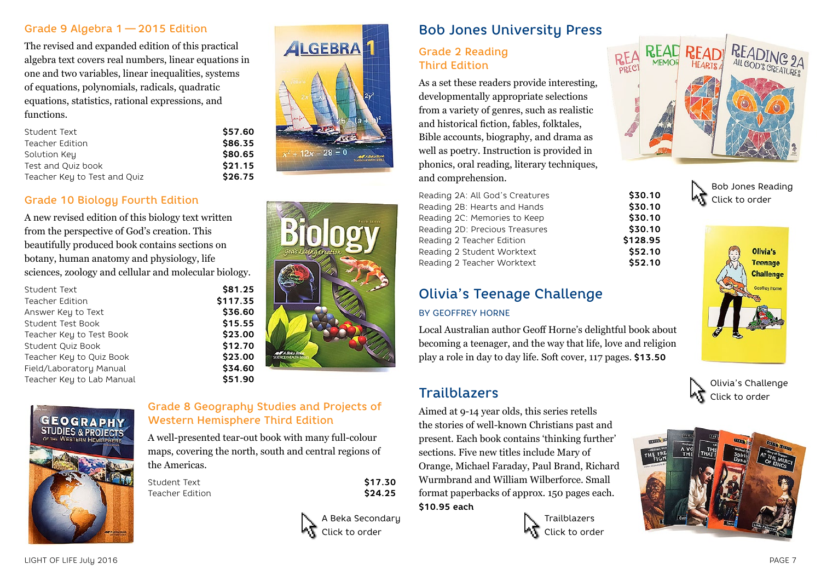### Grade 9 Algebra 1 — 2015 Edition

The revised and expanded edition of this practical algebra text covers real numbers, linear equations in one and two variables, linear inequalities, systems of equations, polynomials, radicals, quadratic equations, statistics, rational expressions, and functions.

| \$57.60 |
|---------|
| \$86.35 |
| \$80.65 |
| \$21.15 |
| \$26.75 |
|         |

## Grade 10 Biology Fourth Edition

A new revised edition of this biology text written from the perspective of God's creation. This beautifully produced book contains sections on botany, human anatomy and physiology, life sciences, zoology and cellular and molecular biology.

| Student Text              |
|---------------------------|
| <b>Teacher Edition</b>    |
| Answer Key to Text        |
| Student Test Book         |
| Teacher Key to Test Book  |
| Student Quiz Book         |
| Teacher Key to Quiz Book  |
| Field/Laboratory Manual   |
| Teacher Key to Lab Manual |
|                           |







## Grade 8 Geography Studies and Projects of Western Hemisphere Third Edition

\$81.25 \$117.35 Answer Key to Text **\$36.60** \$15.55 Teacher Key to Test Book **\$23.00** \$12.70 Teacher Key to Quiz Book **\$23.00** Field/Laboratory Manual **\$34.60** \$51.90

A well-presented tear-out book with many full-colour maps, covering the north, south and central regions of the Americas.

Student Text **\$17.30** Teacher Edition **\$24.25** 



## Bob Jones University Press

## Grade 2 Reading Third Edition

As a set these readers provide interesting, developmentally appropriate selections from a variety of genres, such as realistic and historical fiction, fables, folktales, Bible accounts, biography, and drama as well as poetry. Instruction is provided in phonics, oral reading, literary techniques, and comprehension.

Reading 2A: All God's Creatures **\$30.10** Reading 2B: Hearts and Hands **\$30.10** Reading 2C: Memories to Keep **\$30.10** Reading 2D: Precious Treasures **\$30.10** Reading 2 Teacher Edition **\$128.95** Reading 2 Student Worktext **\$52.10** Reading 2 Teacher Worktext **\$52.10** 

## Olivia's Teenage Challenge

#### BY GEOFFREY HORNE

Local Australian author Geoff Horne's delightful book about becoming a teenager, and the way that life, love and religion play a role in day to day life. Soft cover, 117 pages. **\$13.50**

## **Trailblazers**

Aimed at 9-14 year olds, this series retells the stories of well-known Christians past and present. Each book contains 'thinking further' sections. Five new titles include Mary of Orange, Michael Faraday, Paul Brand, Richard Wurmbrand and William Wilberforce. Small format paperbacks of approx. 150 pages each. **\$10.95 each**

**Trailblazers** Click to order



Bob Jones Reading Click to order



Olivia's Challenge Click to order

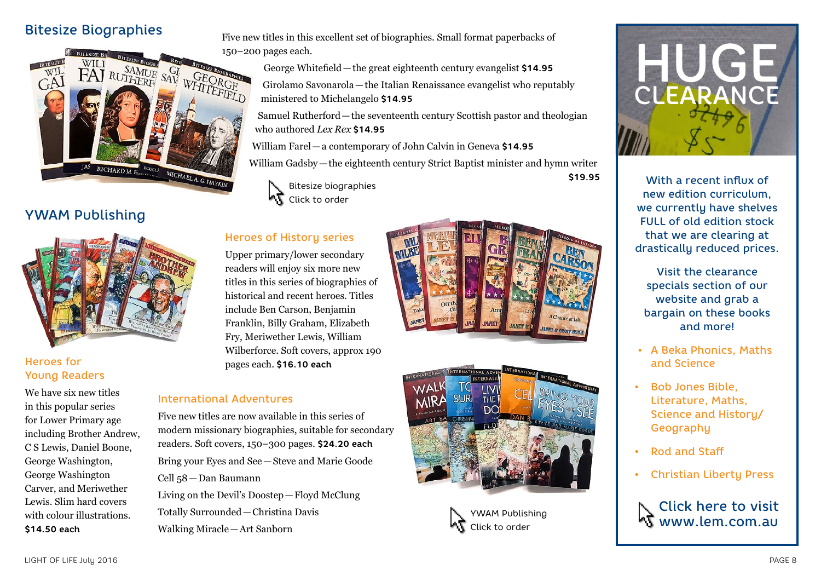## Bitesize Biographies



## YWAM Publishing



### Heroes for Young Readers

We have six new titles in this popular series for Lower Primary age including Brother Andrew, C S Lewis, Daniel Boone, George Washington, George Washington Carver, and Meriwether Lewis. Slim hard covers with colour illustrations. **\$14.50 each**

Five new titles in this excellent set of biographies. Small format paperbacks of 150–200 pages each.

> George Whitefield—the great eighteenth century evangelist **\$14.95** Girolamo Savonarola—the Italian Renaissance evangelist who reputably

ministered to Michelangelo **\$14.95**

Samuel Rutherford—the seventeenth century Scottish pastor and theologian who authored *Lex Rex* **\$14.95**

William Farel—a contemporary of John Calvin in Geneva **\$14.95**

William Gadsby—the eighteenth century Strict Baptist minister and hymn writer



## Heroes of History series

Upper primary/lower secondary readers will enjoy six more new titles in this series of biographies of historical and recent heroes. Titles include Ben Carson, Benjamin Franklin, Billy Graham, Elizabeth Fry, Meriwether Lewis, William Wilberforce. Soft covers, approx 190 pages each. **\$16.10 each**

#### International Adventures

Five new titles are now available in this series of modern missionary biographies, suitable for secondary readers. Soft covers, 150–300 pages. **\$24.20 each** Bring your Eyes and See—Steve and Marie Goode Cell 58—Dan Baumann Living on the Devil's Doostep—Floyd McClung

Totally Surrounded—Christina Davis Walking Miracle—Art Sanborn



**\$19.95**







With a recent influx of new edition curriculum, we currently have shelves FULL of old edition stock that we are clearing at drastically reduced prices.

Visit the clearance specials section of our website and grab a bargain on these books and more!

- A Beka Phonics, Maths and Science
- Bob Jones Bible, Literature, Maths, Science and History/ Geography
- Rod and Staff
- Christian Liberty Press